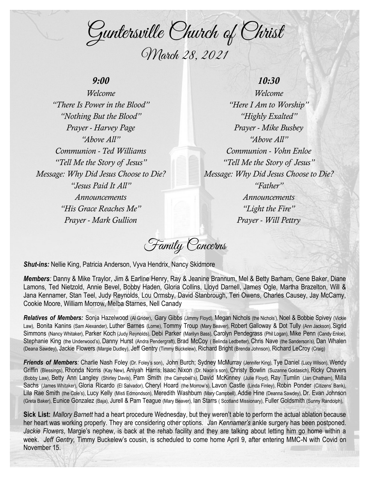Guntersville Church of Christ March 28, 2021

# *9:00*

*Welcome "There Is Power in the Blood" "Nothing But the Blood" Prayer - Harvey Page "Above All" Communion - Ted Williams "Tell Me the Story of Jesus" Message: Why Did Jesus Choose to Die? "Jesus Paid It All" Announcements "His Grace Reaches Me" Prayer - Mark Gullion*

# *10:30*

*Welcome "Here I Am to Worship" "Highly Exalted" Prayer - Mike Busbey "Above All" Communion - Vohn Enloe "Tell Me the Story of Jesus" Message: Why Did Jesus Choose to Die? "Father" Announcements "Light the Fire" Prayer - Will Pettry*

Family Concerns

*Shut-ins:* Nellie King, Patricia Anderson, Vyva Hendrix, Nancy Skidmore

*Members:* Danny & Mike Traylor, Jim & Earline Henry, Ray & Jeanine Brannum, Mel & Betty Barham, Gene Baker, Diane Lamons, Ted Nietzold, Annie Bevel, Bobby Haden, Gloria Collins, Lloyd Darnell, James Ogle, Martha Brazelton, Will & Jana Kennamer, Stan Teel, Judy Reynolds, Lou Ormsby, David Stanbrough, Teri Owens, Charles Causey, Jay McCamy, Cookie Moore, William Morrow, Melba Starnes, Nell Canady

Relatives of Members: Sonja Hazelwood (Al Grider), Gary Gibbs (Jimmy Floyd), Megan Nichols (the Nichols'), Noel & Bobbie Spivey (Vickie Law), Bonita Kanins (Sam Alexander), Luther Barnes (Lorne), Tommy Troup (Mary Beaver), Robert Galloway & Dot Tully (Ann Jackson), Sigrid Simmons (Nancy Whitaker), Parker Koch (Judy Reynolds), Debi Parker (Marilyn Bass), Carolyn Pendegrass (Phil Logan), Mike Penn (Candy Enloe), Stephanie King (the Underwood's), Danny Hurst (Andra Pendergraft), Brad McCoy ( Belinda Ledbetter), Chris Nave (the Sanderson's), Dan Whalen (Deana Sawdey), Jackie Flowers (Margie Dudley), Jeff Gentry (Timmy Buckelew), Richard Bright (Brenda Johnson), Richard LeCroy (Craig)

*Friends of Members:* Charlie Nash Foley (Dr. Foley's son), John Burch; Sydney McMurray (Jennifer King), Tye Daniel (Lucy Wilson), Wendy Griffin (Blessings), Rhonda Norris (Kay New), Aniyah Harris; Isaac Nixon (Dr. Nixon's son), Christy Bowlin (Suzanne Goldasich), Ricky Chavers (Bobby Law), Betty Ann Langley (Shirley Davis), Pam Smith (the Campbell's), David McKinney (Julie Floyd), Ray Tumlin (Jan Chatham), Milla Sachs (James Whitaker), Gloria Ricardo (El Salvador), Cheryl Hoard (the Morrow's), Lavon Castle (Linda Finley), Robin Ponder (Citizens' Bank), Lila Rae Smith (the Cole's), Lucy Kelly (Misti Edmondson), Meredith Washburn (Mary Campbell), Addie Hine (Deanna Sawdey), Dr. Evan Johnson (Greta Baker), Eunice Gonzalez (Baja), Jurell & Pam Teague (Mary Beaver), Ian Starrs ( Scotland Missionary), Fuller Goldsmith (Sunny Randolph),

**Sick List:** *Mallory Barnett* had a heart procedure Wednesday, but they weren't able to perform the actual ablation because her heart was working properly. They are considering other options. *Jan Kennamer's* ankle surgery has been postponed. *Jackie Flowers*, Margie's nephew, is back at the rehab facility and they are talking about letting him go home within a week. *Jeff Gentry,* Timmy Buckelew's cousin, is scheduled to come home April 9, after entering MMC-N with Covid on November 15.